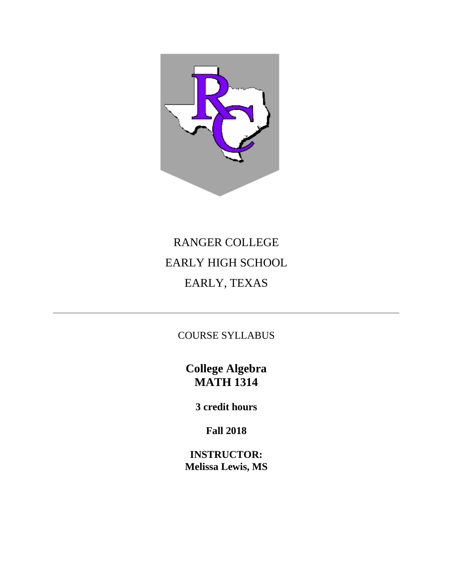

# RANGER COLLEGE EARLY HIGH SCHOOL EARLY, TEXAS

COURSE SYLLABUS

**College Algebra MATH 1314**

**3 credit hours**

**Fall 2018**

**INSTRUCTOR: Melissa Lewis, MS**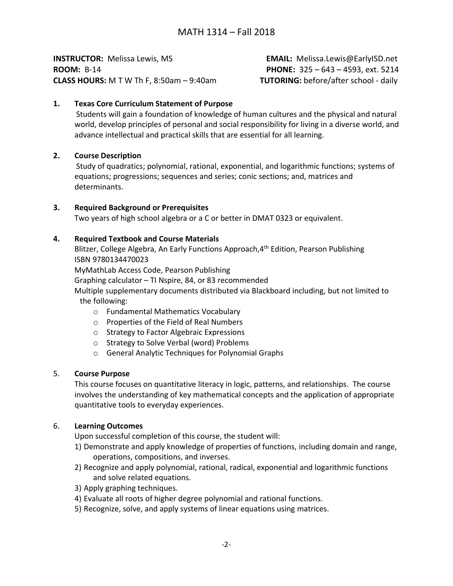**INSTRUCTOR:** Melissa Lewis, MS **EMAIL:** Melissa.Lewis@EarlyISD.net **ROOM:** B-14 **PHONE:** 325 – 643 – 4593, ext. 5214 **CLASS HOURS:** M T W Th F, 8:50am – 9:40am **TUTORING:** before/after school - daily

## **1. Texas Core Curriculum Statement of Purpose**

Students will gain a foundation of knowledge of human cultures and the physical and natural world, develop principles of personal and social responsibility for living in a diverse world, and advance intellectual and practical skills that are essential for all learning.

## **2. Course Description**

Study of quadratics; polynomial, rational, exponential, and logarithmic functions; systems of equations; progressions; sequences and series; conic sections; and, matrices and determinants.

#### **3. Required Background or Prerequisites**

Two years of high school algebra or a C or better in DMAT 0323 or equivalent.

#### **4. Required Textbook and Course Materials**

Blitzer, College Algebra, An Early Functions Approach, 4<sup>th</sup> Edition, Pearson Publishing ISBN 9780134470023

MyMathLab Access Code, Pearson Publishing

Graphing calculator – TI Nspire, 84, or 83 recommended

 Multiple supplementary documents distributed via Blackboard including, but not limited to the following:

- o Fundamental Mathematics Vocabulary
- o Properties of the Field of Real Numbers
- o Strategy to Factor Algebraic Expressions
- o Strategy to Solve Verbal (word) Problems
- o General Analytic Techniques for Polynomial Graphs

#### 5. **Course Purpose**

This course focuses on quantitative literacy in logic, patterns, and relationships. The course involves the understanding of key mathematical concepts and the application of appropriate quantitative tools to everyday experiences.

#### 6. **Learning Outcomes**

Upon successful completion of this course, the student will:

- 1) Demonstrate and apply knowledge of properties of functions, including domain and range, operations, compositions, and inverses.
- 2) Recognize and apply polynomial, rational, radical, exponential and logarithmic functions and solve related equations.
- 3) Apply graphing techniques.
- 4) Evaluate all roots of higher degree polynomial and rational functions.
- 5) Recognize, solve, and apply systems of linear equations using matrices.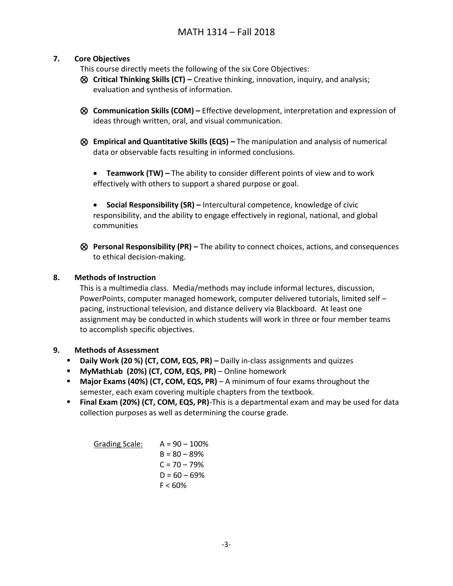## **7. Core Objectives**

This course directly meets the following of the six Core Objectives:

- ⊗ **Critical Thinking Skills (CT) –** Creative thinking, innovation, inquiry, and analysis; evaluation and synthesis of information.
- ⊗ **Communication Skills (COM) –** Effective development, interpretation and expression of ideas through written, oral, and visual communication.
- ⊗ **Empirical and Quantitative Skills (EQS) –** The manipulation and analysis of numerical data or observable facts resulting in informed conclusions.
	- **Teamwork (TW) –** The ability to consider different points of view and to work effectively with others to support a shared purpose or goal.
	- **Social Responsibility (SR) –** Intercultural competence, knowledge of civic responsibility, and the ability to engage effectively in regional, national, and global communities
- ⊗ **Personal Responsibility (PR) –** The ability to connect choices, actions, and consequences to ethical decision-making.

## **8. Methods of Instruction**

This is a multimedia class. Media/methods may include informal lectures, discussion, PowerPoints, computer managed homework, computer delivered tutorials, limited self – pacing, instructional television, and distance delivery via Blackboard. At least one assignment may be conducted in which students will work in three or four member teams to accomplish specific objectives.

## **9. Methods of Assessment**

- **Daily Work (20 %) (CT, COM, EQS, PR) –** Dailly in-class assignments and quizzes
- **MyMathLab (20%) (CT, COM, EQS, PR)** Online homework
- **Major Exams (40%) (CT, COM, EQS, PR)** A minimum of four exams throughout the semester, each exam covering multiple chapters from the textbook.
- **Final Exam (20%) (CT, COM, EQS, PR)**-This is a departmental exam and may be used for data collection purposes as well as determining the course grade.

Grading Scale:  $A = 90 - 100\%$  $B = 80 - 89%$  $C = 70 - 79%$  $D = 60 - 69%$  $F < 60%$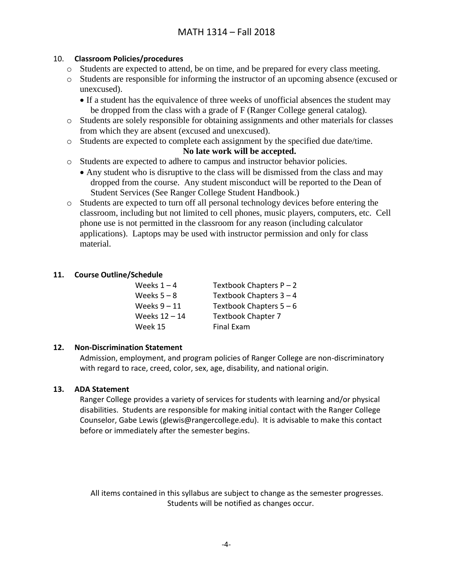## 10. **Classroom Policies/procedures**

- o Students are expected to attend, be on time, and be prepared for every class meeting.
- o Students are responsible for informing the instructor of an upcoming absence (excused or unexcused).
	- If a student has the equivalence of three weeks of unofficial absences the student may be dropped from the class with a grade of F (Ranger College general catalog).
- o Students are solely responsible for obtaining assignments and other materials for classes from which they are absent (excused and unexcused).
- o Students are expected to complete each assignment by the specified due date/time.

## **No late work will be accepted.**

- o Students are expected to adhere to campus and instructor behavior policies.
	- Any student who is disruptive to the class will be dismissed from the class and may dropped from the course. Any student misconduct will be reported to the Dean of Student Services (See Ranger College Student Handbook.)
- o Students are expected to turn off all personal technology devices before entering the classroom, including but not limited to cell phones, music players, computers, etc. Cell phone use is not permitted in the classroom for any reason (including calculator applications). Laptops may be used with instructor permission and only for class material.

## **11. Course Outline/Schedule**

| Weeks $1 - 4$   | Textbook Chapters $P - 2$ |
|-----------------|---------------------------|
| Weeks $5 - 8$   | Textbook Chapters $3 - 4$ |
| Weeks $9 - 11$  | Textbook Chapters $5 - 6$ |
| Weeks $12 - 14$ | Textbook Chapter 7        |
| Week 15         | Final Exam                |

## **12. Non-Discrimination Statement**

Admission, employment, and program policies of Ranger College are non-discriminatory with regard to race, creed, color, sex, age, disability, and national origin.

#### **13. ADA Statement**

Ranger College provides a variety of services for students with learning and/or physical disabilities. Students are responsible for making initial contact with the Ranger College Counselor, Gabe Lewis (glewis@rangercollege.edu). It is advisable to make this contact before or immediately after the semester begins.

All items contained in this syllabus are subject to change as the semester progresses. Students will be notified as changes occur.